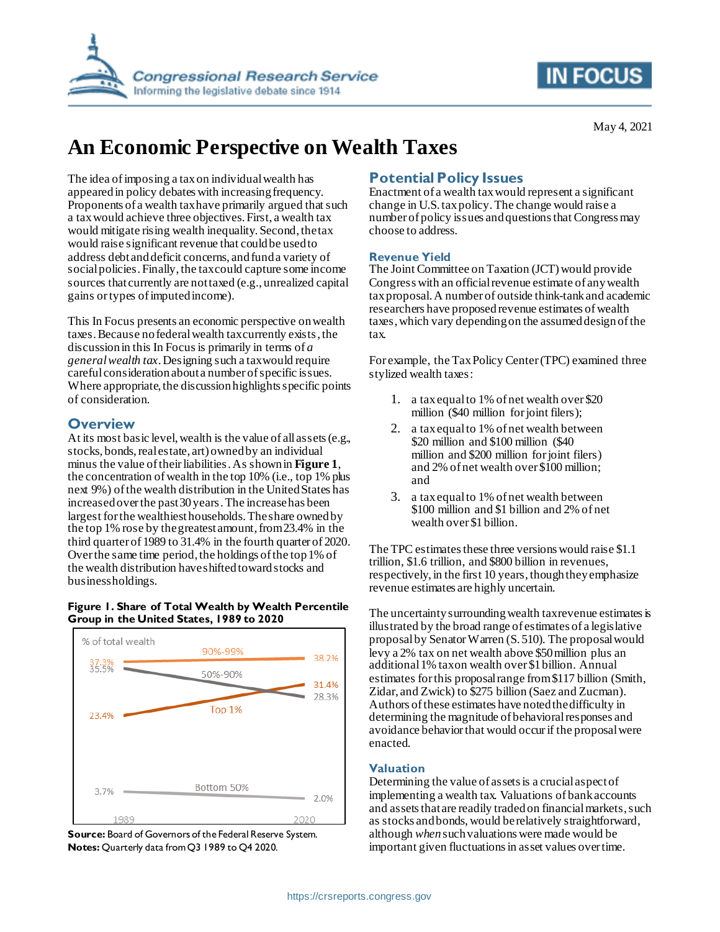

## **IN FOCUS**

May 4, 2021

# **An Economic Perspective on Wealth Taxes**

The idea of imposing a tax on individual wealth has appeared in policy debates with increasing frequency. Proponents of a wealth taxhave primarily argued that such a tax would achieve three objectives. First, a wealth tax would mitigate rising wealth inequality. Second, the tax would raise significant revenue that could be used to address debt and deficit concerns, and fund a variety of social policies. Finally, the tax could capture some income sources that currently are not taxed (e.g., unrealized capital gains or types of imputed income).

This In Focus presents an economic perspective onwealth taxes. Because no federal wealth tax currently exists, the discussion in this In Focus is primarily in terms of *a general wealth tax*.Designing such a tax would require careful consideration about a number of specific issues. Where appropriate, the discussionhighlights specific points of consideration.

#### **Overview**

At its most basic level, wealth is the value of all assets (e.g., stocks, bonds, real estate, art) owned by an individual minus the value of their liabilities.As shown in **[Figure 1](#page-0-0)**, the concentration of wealth in the top 10% (i.e., top 1% plus next 9%) of the wealth distribution in the United States has increased over the past 30 years.The increase has been largest for the wealthiest households. The share owned by the top 1% rose by the greatest amount, from 23.4% in the third quarter of 1989 to 31.4% in the fourth quarter of 2020. Over the same time period, the holdings of the top 1% of the wealth distribution have shifted toward stocks and business holdings.

#### <span id="page-0-0"></span>**Figure 1. Share of Total Wealth by Wealth Percentile Group in the United States, 1989 to 2020**



**Source:** Board of Governors of the Federal Reserve System. **Notes:** Quarterly data from Q3 1989 to Q4 2020.

### **Potential Policy Issues**

Enactment of a wealth tax would represent a significant change in U.S. tax policy. The change would raise a number of policy issues and questions that Congress may choose to address.

#### **Revenue Yield**

The Joint Committee on Taxation (JCT) would provide Congress with an official revenue estimate of any wealth tax proposal. A number of outside think-tank and academic researchers have proposed revenue estimates of wealth taxes, which vary depending on the assumed design of the tax.

For example, the Tax Policy Center (TPC) examined three stylized wealth taxes:

- 1. a tax equal to 1% of net wealth over \$20 million (\$40 million for joint filers);
- 2. a tax equal to 1% of net wealth between \$20 million and \$100 million (\$40 million and \$200 million for joint filers) and 2% of net wealth over \$100 million; and
- 3. a tax equal to 1% of net wealth between \$100 million and \$1 billion and 2% of net wealth over \$1 billion.

The TPC estimates these three versions would raise \$1.1 trillion, \$1.6 trillion, and \$800 billion in revenues, respectively, in the first 10 years, though they emphasize revenue estimates are highly uncertain.

The uncertainty surrounding wealth tax revenue estimates is illustrated by the broad range of estimates of a legislative proposal by Senator Warren (S. 510). The proposal would levy a 2% tax on net wealth above \$50 million plus an additional 1% tax on wealth over \$1 billion. Annual estimates for this proposal range from \$117 billion (Smith, Zidar, and Zwick) to \$275 billion (Saez and Zucman). Authors of these estimates have noted the difficulty in determining the magnitude of behavioral responses and avoidance behavior that would occur if the proposal were enacted.

#### **Valuation**

Determining the value of assets is a crucial aspect of implementing a wealth tax. Valuations of bank accounts and assets that are readily traded on financial markets, such as stocks and bonds, would berelatively straightforward, although *when*such valuations were made would be important given fluctuations in asset values over time.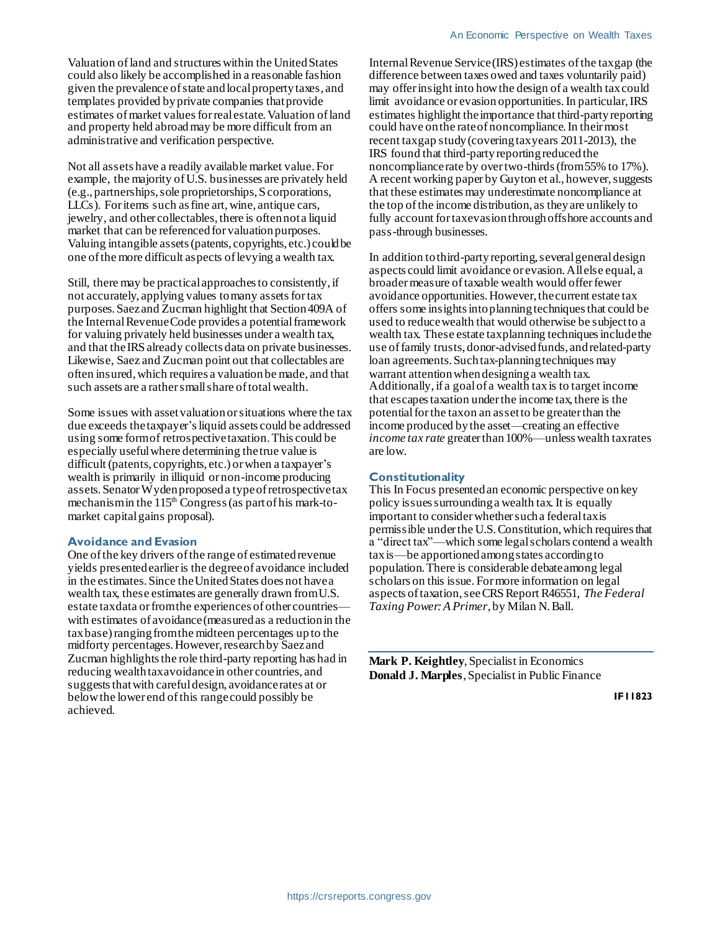Valuation of land and structures within the United States could also likely be accomplished in a reasonable fashion given the prevalence of state and local property taxes, and templates provided by private companies that provide estimates of market values for real estate. Valuation of land and property held abroad may be more difficult from an administrative and verification perspective.

Not all assets have a readily available market value. For example, the majority of U.S. businesses are privately held (e.g., partnerships, sole proprietorships, S corporations, LLCs). For items such as fine art, wine, antique cars, jewelry, and other collectables, there is often not a liquid market that can be referenced for valuation purposes. Valuing intangible assets (patents, copyrights, etc.) could be one of the more difficult aspects of levying a wealth tax.

Still, there may be practical approaches to consistently, if not accurately, applying values to many assets for tax purposes. Saez and Zucman highlight that Section 409A of the Internal Revenue Code provides a potentialframework for valuing privately held businesses under a wealth tax, and that the IRS already collects data on private businesses. Likewise, Saez and Zucman point out that collectables are often insured,which requires a valuation be made, and that such assets are a rather small share of total wealth.

Some issues with assetvaluationorsituations where the tax due exceeds the taxpayer's liquid assets could be addressed using some form of retrospective taxation. This could be especially useful where determining the true value is difficult (patents, copyrights, etc.) or when a taxpayer's wealth is primarily in illiquid or non-income producing assets. SenatorWyden proposed a type of retrospective tax mechanism in the  $115<sup>th</sup>$  Congress (as part of his mark-tomarket capital gains proposal).

#### **Avoidance and Evasion**

One of the key drivers of the range of estimated revenue yields presented earlier is the degree of avoidance included in the estimates. Since the United States does not have a wealth tax, these estimates are generally drawn from U.S. estate tax data or from the experiences of other countrieswith estimates of avoidance(measured as a reduction in the tax base)ranging from the midteen percentages up to the midforty percentages. However, research by Saez and Zucman highlights the role third-party reporting has had in reducing wealth taxavoidance in other countries, and suggests that with careful design, avoidance rates at or below the lower end of this range could possibly be achieved.

Internal Revenue Service (IRS) estimates of the tax gap (the difference between taxes owed and taxes voluntarily paid) may offer insight into how the design of a wealth tax could limit avoidance or evasion opportunities. In particular, IRS estimates highlight the importance that third-party reporting could have on the rate of noncompliance. In their most recent tax gap study (covering tax years 2011-2013), the IRS found that third-party reporting reduced the noncompliance rate by over two-thirds (from 55% to 17%). A recent working paper by Guyton et al., however, suggests that these estimates may underestimate noncompliance at the top of the income distribution, as they are unlikely to fully account for taxevasion through offshore accounts and pass-through businesses.

In addition to third-partyreporting, several general design aspects could limit avoidance or evasion. All else equal, a broader measure of taxable wealth would offer fewer avoidance opportunities. However, the current estate tax offers some insights into planning techniques that could be used to reduce wealth that would otherwise be subject to a wealth tax. These estate tax planning techniques include the use of family trusts, donor-advised funds, and related-party loan agreements. Such tax-planning techniques may warrant attention when designing a wealth tax. Additionally, if a goal of a wealth tax is to target income that escapes taxation under the income tax, there is the potential for the tax on an asset to be greater than the income produced by the asset—creating an effective *income tax rate* greater than 100%—unless wealth taxrates are low.

#### **Constitutionality**

This In Focus presented an economic perspective onkey policy issues surrounding a wealth tax. It is equally important to consider whether such a federal tax is permissible under the U.S. Constitution,which requires that a "direct tax"—which some legal scholars contend a wealth tax is—be apportioned among states according to population. There is considerable debate among legal scholars on this issue. For more information on legal aspects of taxation, see CRS Report R46551, *The Federal Taxing Power: A Primer*, by Milan N. Ball.

**Mark P. Keightley**, Specialist in Economics **Donald J. Marples**, Specialist in Public Finance

**IF11823**